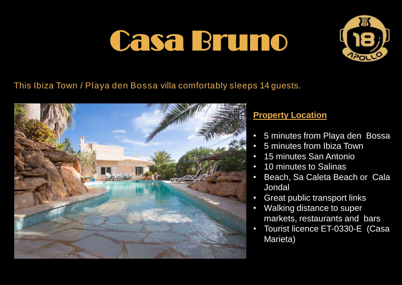

### This Ibiza Town / Playa den Bossa villa comfortably sleeps 14 guests.



### **Property Location**

- 5 minutes from Playa den Bossa
- 5 minutes from Ibiza Town
- 15 minutes San Antonio
- 10 minutes to Salinas
- Beach, Sa Caleta Beach or Cala Jondal
- Great public transport links
- Walking distance to super markets, restaurants and bars
- Tourist licence ET-0330-E (Casa Marieta)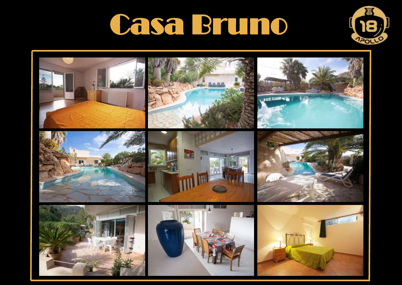

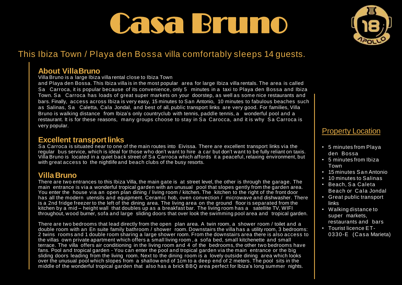### This Ibiza Town / Playa den Bossa villa comfortably sleeps 14 guests.

#### **About VillaBruno**

Villa Bruno is a large Ibiza villa rental close to Ibiza Town

and Playa den Bossa. This Ibiza villa is in the most popular area for large Ibiza villa rentals. The area is called Sa Carroca, it is popular because of its convenience, only 5 minutes in a taxi to Playa den Bossa and Ibiza Town. Sa Carroca has loads of great super markets on your doorstep, as well as some nice restaurants and bars. Finally, access across Ibiza is very easy, 15 minutes to San Antonio, 10 minutes to fabulous beaches such as Salinas, Sa Caletta, Cala Jondal, and best of all, public transport links are very good. For families, Villa Bruno is walking distance from Ibiza's only countryclub with tennis, paddle tennis, a wonderful pool and a restaurant. It is for these reasons, many groups choose to stay in Sa Carocca, and it is why Sa Carroca is very popular.

#### **Excellent transport links**

Sa Carroca is situated near to one of the main routes into Eivissa. There are excellent transport links via the regular bus service, which is ideal for those who don't want to hire a car but don't want to be fully reliant on taxis. Villa Bruno is located in a quiet back street of S a Carroca which affords it a peaceful, relaxing environment, but with great access to the nightlife and beach clubs of the busy resorts.

#### **Villa Bruno**

There are two entrances to this Ibiza Villa, the main gate is at street level, the other is through the garage. The main entrance is via a wonderful tropical garden with an unusual pool that slopes gently from the garden area. You enter the house via an open plan dining / living room / kitchen. The kitchen to the right of the front door has all the modern utensils and equipment. Ceramic hob, oven convection / microwave and dishwasher. There is a 2nd fridge freezer to the left of the dining area. The living area on the ground floor is separated from the kitchen by a mid – height wall that doubles up as a breakfast bar. The living room has a satellite TV, WIFI throughout, wood burner, sofa and large sliding doors that over look the swimming pool area and tropical garden.

There are two bedrooms that lead directly from the open plan area. A twin room, a shower room / toilet and a double room with an En suite family bathroom / shower room. Downstairs the villa has a utility room, 3 bedrooms: 2 twins rooms and 1 double room sharing a large shower room. From the downstairs area there is also access to the villas own private apartment which offers a small living room , a sofa bed, small kitchenette and small terrace. The villa offers air conditioning in the living room and 4 of the bedrooms, the other two bedrooms have fans. Pool and tropical garden - You can enter the pool and tropical garden via the main entrance or the big sliding doors leading from the living room. Next to the dining room is a lovely outside dining area which looks over the unusual pool which slopes from a shallow end of 1cm to a deep end of 2 meters. The pool sits in the middle of the wonderful tropical garden that also has a brick BBQ area perfect for Ibiza's long summer nights.



#### Property Location

- 5 minutes from Playa den Bossa
- 5 minutes from Ibiza Town
- 15 minutes San Antonio
- 10 minutes to Salinas
- Beach, Sa Caleta Beach or Cala Jondal
- Great public transport links
- Walking distance to super markets, restaurants and bars
- Tourist licence ET-0330-E (Casa Marieta)